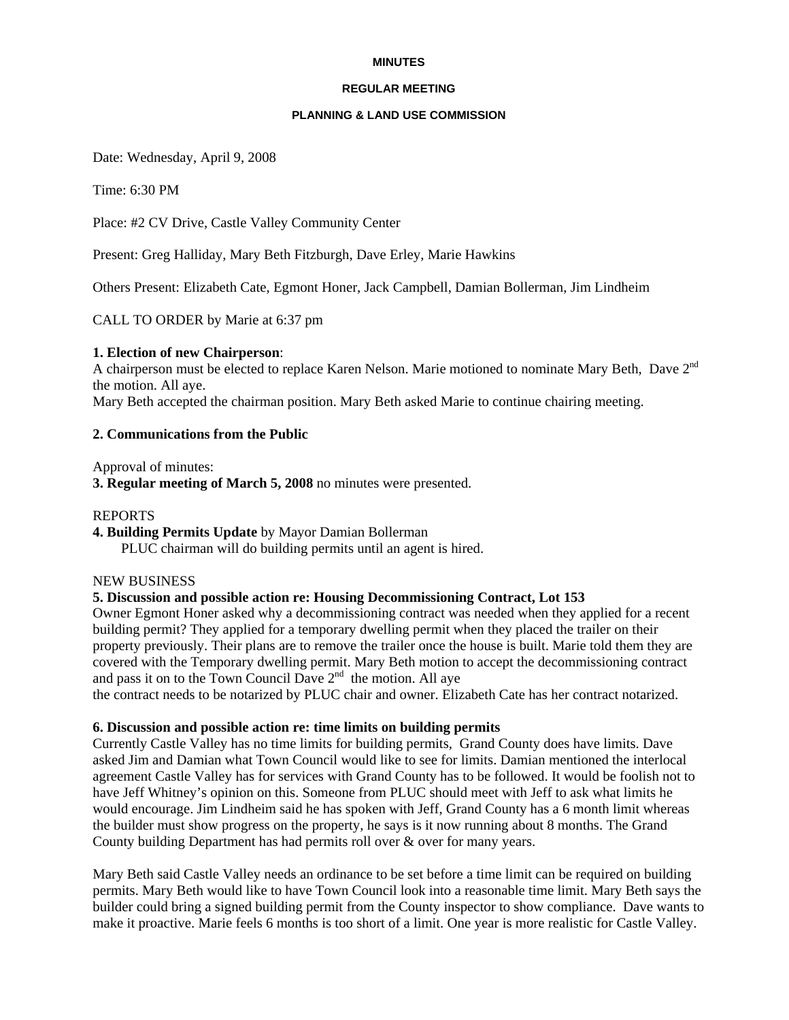#### **MINUTES**

#### **REGULAR MEETING**

#### **PLANNING & LAND USE COMMISSION**

Date: Wednesday, April 9, 2008

Time: 6:30 PM

Place: #2 CV Drive, Castle Valley Community Center

Present: Greg Halliday, Mary Beth Fitzburgh, Dave Erley, Marie Hawkins

Others Present: Elizabeth Cate, Egmont Honer, Jack Campbell, Damian Bollerman, Jim Lindheim

CALL TO ORDER by Marie at 6:37 pm

#### **1. Election of new Chairperson**:

A chairperson must be elected to replace Karen Nelson. Marie motioned to nominate Mary Beth, Dave 2nd the motion. All aye.

Mary Beth accepted the chairman position. Mary Beth asked Marie to continue chairing meeting.

## **2. Communications from the Public**

Approval of minutes:

**3. Regular meeting of March 5, 2008** no minutes were presented.

## REPORTS

**4. Building Permits Update** by Mayor Damian Bollerman PLUC chairman will do building permits until an agent is hired.

#### NEW BUSINESS

## **5. Discussion and possible action re: Housing Decommissioning Contract, Lot 153**

Owner Egmont Honer asked why a decommissioning contract was needed when they applied for a recent building permit? They applied for a temporary dwelling permit when they placed the trailer on their property previously. Their plans are to remove the trailer once the house is built. Marie told them they are covered with the Temporary dwelling permit. Mary Beth motion to accept the decommissioning contract and pass it on to the Town Council Dave  $2<sup>nd</sup>$  the motion. All aye

the contract needs to be notarized by PLUC chair and owner. Elizabeth Cate has her contract notarized.

#### **6. Discussion and possible action re: time limits on building permits**

Currently Castle Valley has no time limits for building permits, Grand County does have limits. Dave asked Jim and Damian what Town Council would like to see for limits. Damian mentioned the interlocal agreement Castle Valley has for services with Grand County has to be followed. It would be foolish not to have Jeff Whitney's opinion on this. Someone from PLUC should meet with Jeff to ask what limits he would encourage. Jim Lindheim said he has spoken with Jeff, Grand County has a 6 month limit whereas the builder must show progress on the property, he says is it now running about 8 months. The Grand County building Department has had permits roll over & over for many years.

Mary Beth said Castle Valley needs an ordinance to be set before a time limit can be required on building permits. Mary Beth would like to have Town Council look into a reasonable time limit. Mary Beth says the builder could bring a signed building permit from the County inspector to show compliance. Dave wants to make it proactive. Marie feels 6 months is too short of a limit. One year is more realistic for Castle Valley.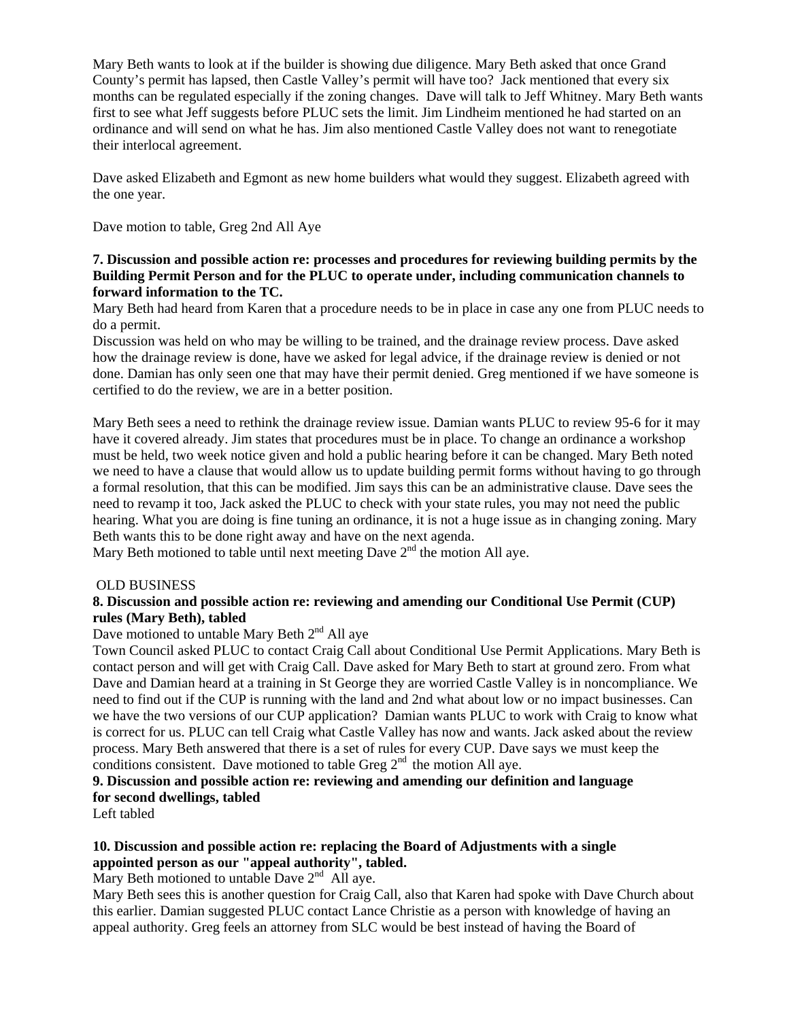Mary Beth wants to look at if the builder is showing due diligence. Mary Beth asked that once Grand County's permit has lapsed, then Castle Valley's permit will have too? Jack mentioned that every six months can be regulated especially if the zoning changes. Dave will talk to Jeff Whitney. Mary Beth wants first to see what Jeff suggests before PLUC sets the limit. Jim Lindheim mentioned he had started on an ordinance and will send on what he has. Jim also mentioned Castle Valley does not want to renegotiate their interlocal agreement.

Dave asked Elizabeth and Egmont as new home builders what would they suggest. Elizabeth agreed with the one year.

Dave motion to table, Greg 2nd All Aye

## **7. Discussion and possible action re: processes and procedures for reviewing building permits by the Building Permit Person and for the PLUC to operate under, including communication channels to forward information to the TC.**

Mary Beth had heard from Karen that a procedure needs to be in place in case any one from PLUC needs to do a permit.

Discussion was held on who may be willing to be trained, and the drainage review process. Dave asked how the drainage review is done, have we asked for legal advice, if the drainage review is denied or not done. Damian has only seen one that may have their permit denied. Greg mentioned if we have someone is certified to do the review, we are in a better position.

Mary Beth sees a need to rethink the drainage review issue. Damian wants PLUC to review 95-6 for it may have it covered already. Jim states that procedures must be in place. To change an ordinance a workshop must be held, two week notice given and hold a public hearing before it can be changed. Mary Beth noted we need to have a clause that would allow us to update building permit forms without having to go through a formal resolution, that this can be modified. Jim says this can be an administrative clause. Dave sees the need to revamp it too, Jack asked the PLUC to check with your state rules, you may not need the public hearing. What you are doing is fine tuning an ordinance, it is not a huge issue as in changing zoning. Mary Beth wants this to be done right away and have on the next agenda.

Mary Beth motioned to table until next meeting Dave  $2<sup>nd</sup>$  the motion All aye.

## OLD BUSINESS

## **8. Discussion and possible action re: reviewing and amending our Conditional Use Permit (CUP) rules (Mary Beth), tabled**

## Dave motioned to untable Mary Beth  $2<sup>nd</sup>$  All aye

Town Council asked PLUC to contact Craig Call about Conditional Use Permit Applications. Mary Beth is contact person and will get with Craig Call. Dave asked for Mary Beth to start at ground zero. From what Dave and Damian heard at a training in St George they are worried Castle Valley is in noncompliance. We need to find out if the CUP is running with the land and 2nd what about low or no impact businesses. Can we have the two versions of our CUP application? Damian wants PLUC to work with Craig to know what is correct for us. PLUC can tell Craig what Castle Valley has now and wants. Jack asked about the review process. Mary Beth answered that there is a set of rules for every CUP. Dave says we must keep the conditions consistent. Dave motioned to table Greg  $2<sup>nd</sup>$  the motion All aye.

**9. Discussion and possible action re: reviewing and amending our definition and language for second dwellings, tabled**

Left tabled

## **10. Discussion and possible action re: replacing the Board of Adjustments with a single appointed person as our "appeal authority", tabled.**

Mary Beth motioned to untable Dave  $2<sup>nd</sup>$  All aye.

Mary Beth sees this is another question for Craig Call, also that Karen had spoke with Dave Church about this earlier. Damian suggested PLUC contact Lance Christie as a person with knowledge of having an appeal authority. Greg feels an attorney from SLC would be best instead of having the Board of